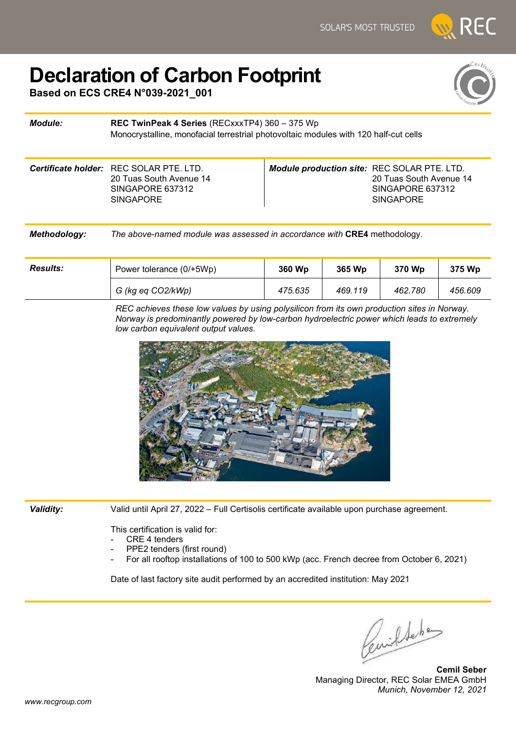## **Declaration of Carbon Footprint**

**Based on ECS CRE4 N°039-2021\_001**



## *Module:* **REC TwinPeak 4 Series** (RECxxxTP4) 360 – 375 Wp Monocrystalline, monofacial terrestrial photovoltaic modules with 120 half-cut cells *Certificate holder:* REC SOLAR PTE. LTD. 20 Tuas South Avenue 14 SINGAPORE 637312 **SINGAPORE** *Module production site:* REC SOLAR PTE. LTD. 20 Tuas South Avenue 14 SINGAPORE 637312 SINGAPORE

*Methodology: The above-named module was assessed in accordance with* **CRE4** methodology.

| <b>Results:</b> | Power tolerance (0/+5Wp) | 360 Wp  | 365 Wp  | 370 Wp  |         |
|-----------------|--------------------------|---------|---------|---------|---------|
|                 | G (kg eq CO2/kWp)        | 475.635 | 469.119 | 462.780 | 456.609 |

*REC achieves these low values by using polysilicon from its own production sites in Norway. Norway is predominantly powered by low-carbon hydroelectric power which leads to extremely low carbon equivalent output values.*



*Validity:* Valid until April 27, 2022 – Full Certisolis certificate available upon purchase agreement.

This certification is valid for:

- CRE 4 tenders
- PPE2 tenders (first round)
- For all rooftop installations of 100 to 500 kWp (acc. French decree from October 6, 2021)

Date of last factory site audit performed by an accredited institution: May 2021

Cemildeben

**Cemil Seber** Managing Director, REC Solar EMEA GmbH *Munich, November 12, 2021*